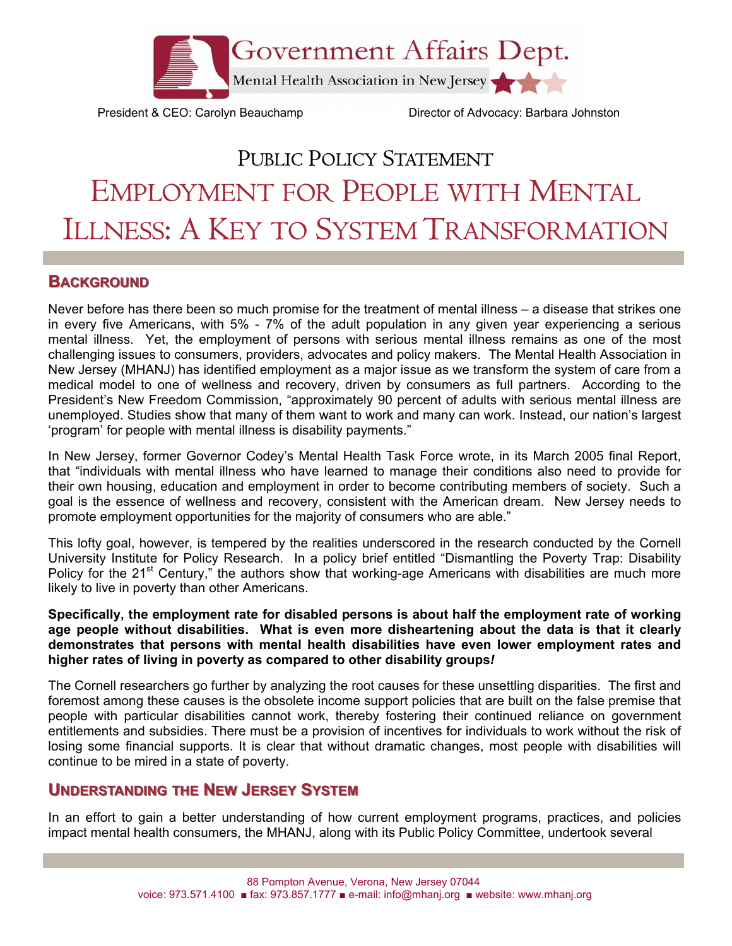

President & CEO: Carolyn Beauchamp Director of Advocacy: Barbara Johnston

# PUBLIC POLICY STATEMENT EMPLOYMENT FOR PEOPLE WITH MENTAL ILLNESS: A KEY TO SYSTEM TRANSFORMATION

## **BACKGROUND**

Never before has there been so much promise for the treatment of mental illness – a disease that strikes one in every five Americans, with 5% - 7% of the adult population in any given year experiencing a serious mental illness. Yet, the employment of persons with serious mental illness remains as one of the most challenging issues to consumers, providers, advocates and policy makers. The Mental Health Association in New Jersey (MHANJ) has identified employment as a major issue as we transform the system of care from a medical model to one of wellness and recovery, driven by consumers as full partners. According to the President's New Freedom Commission, "approximately 90 percent of adults with serious mental illness are unemployed. Studies show that many of them want to work and many can work. Instead, our nation's largest 'program' for people with mental illness is disability payments."

In New Jersey, former Governor Codey's Mental Health Task Force wrote, in its March 2005 final Report, that "individuals with mental illness who have learned to manage their conditions also need to provide for their own housing, education and employment in order to become contributing members of society. Such a goal is the essence of wellness and recovery, consistent with the American dream. New Jersey needs to promote employment opportunities for the majority of consumers who are able."

This lofty goal, however, is tempered by the realities underscored in the research conducted by the Cornell University Institute for Policy Research. In a policy brief entitled "Dismantling the Poverty Trap: Disability Policy for the 21<sup>st</sup> Century," the authors show that working-age Americans with disabilities are much more likely to live in poverty than other Americans.

**Specifically, the employment rate for disabled persons is about half the employment rate of working age people without disabilities. What is even more disheartening about the data is that it clearly demonstrates that persons with mental health disabilities have even lower employment rates and higher rates of living in poverty as compared to other disability groups***!* 

The Cornell researchers go further by analyzing the root causes for these unsettling disparities. The first and foremost among these causes is the obsolete income support policies that are built on the false premise that people with particular disabilities cannot work, thereby fostering their continued reliance on government entitlements and subsidies. There must be a provision of incentives for individuals to work without the risk of losing some financial supports. It is clear that without dramatic changes, most people with disabilities will continue to be mired in a state of poverty.

# **UNDERSTANDING THE NEW JERSEY SYSTEM**

In an effort to gain a better understanding of how current employment programs, practices, and policies impact mental health consumers, the MHANJ, along with its Public Policy Committee, undertook several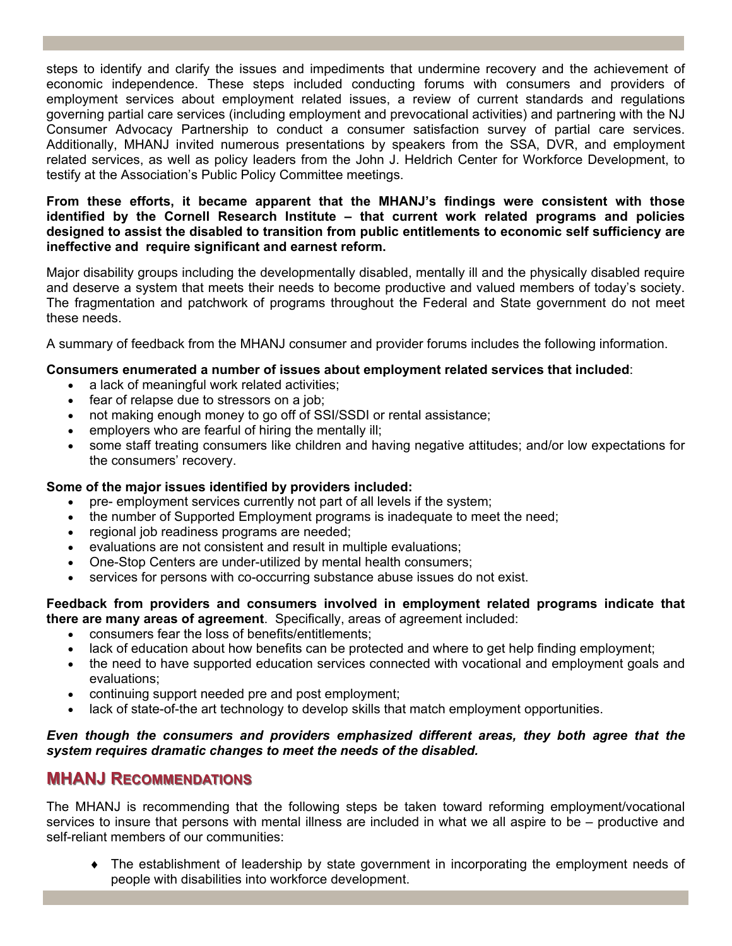steps to identify and clarify the issues and impediments that undermine recovery and the achievement of economic independence. These steps included conducting forums with consumers and providers of employment services about employment related issues, a review of current standards and regulations governing partial care services (including employment and prevocational activities) and partnering with the NJ Consumer Advocacy Partnership to conduct a consumer satisfaction survey of partial care services. Additionally, MHANJ invited numerous presentations by speakers from the SSA, DVR, and employment related services, as well as policy leaders from the John J. Heldrich Center for Workforce Development, to testify at the Association's Public Policy Committee meetings.

#### **From these efforts, it became apparent that the MHANJ's findings were consistent with those identified by the Cornell Research Institute – that current work related programs and policies designed to assist the disabled to transition from public entitlements to economic self sufficiency are ineffective and require significant and earnest reform.**

Major disability groups including the developmentally disabled, mentally ill and the physically disabled require and deserve a system that meets their needs to become productive and valued members of today's society. The fragmentation and patchwork of programs throughout the Federal and State government do not meet these needs.

A summary of feedback from the MHANJ consumer and provider forums includes the following information.

#### **Consumers enumerated a number of issues about employment related services that included**:

- a lack of meaningful work related activities;
- fear of relapse due to stressors on a job;
- not making enough money to go off of SSI/SSDI or rental assistance;
- employers who are fearful of hiring the mentally ill;
- some staff treating consumers like children and having negative attitudes; and/or low expectations for the consumers' recovery.

#### **Some of the major issues identified by providers included:**

- pre- employment services currently not part of all levels if the system;
- the number of Supported Employment programs is inadequate to meet the need;
- regional job readiness programs are needed;
- evaluations are not consistent and result in multiple evaluations;
- One-Stop Centers are under-utilized by mental health consumers;
- services for persons with co-occurring substance abuse issues do not exist.

#### **Feedback from providers and consumers involved in employment related programs indicate that there are many areas of agreement**. Specifically, areas of agreement included:

- consumers fear the loss of benefits/entitlements;
- lack of education about how benefits can be protected and where to get help finding employment;
- the need to have supported education services connected with vocational and employment goals and evaluations;
- continuing support needed pre and post employment;
- lack of state-of-the art technology to develop skills that match employment opportunities.

#### *Even though the consumers and providers emphasized different areas, they both agree that the system requires dramatic changes to meet the needs of the disabled.*

# **MHANJ RECOMMENDATIONS**

The MHANJ is recommending that the following steps be taken toward reforming employment/vocational services to insure that persons with mental illness are included in what we all aspire to be – productive and self-reliant members of our communities:

♦ The establishment of leadership by state government in incorporating the employment needs of people with disabilities into workforce development.